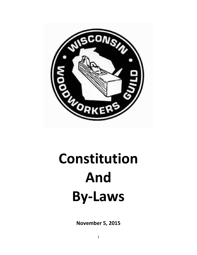

# **Constitution And By-Laws**

**November 5, 2015**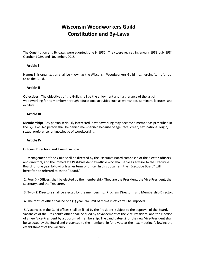# **Wisconsin Woodworkers Guild Constitution and By-Laws**

------------------------------------------------------------------------------------------------------------------------------------------

The Constitution and By-Laws were adopted June 9, 1982. They were revised in January 1983, July 1984, October 1989, and November, 2015.

# **Article I**

**Name:** This organization shall be known as the Wisconsin Woodworkers Guild Inc., hereinafter referred to as the Guild.

# **Article II**

**Objectives:** The objectives of the Guild shall be the enjoyment and furtherance of the art of woodworking for its members through educational activities such as workshops, seminars, lectures, and exhibits.

# **Article III**

**Membership:** Any person seriously interested in woodworking may become a member as prescribed in the By-Laws. No person shall be denied membership because of age, race, creed, sex, national origin, sexual preference, or knowledge of woodworking.

# **Article IV**

#### **Officers, Directors, and Executive Board**:

1. Management of the Guild shall be directed by the Executive Board composed of the elected officers, and directors, and the immediate Past-President ex-officio who shall serve as advisor to the Executive Board for one year following his/her term of office. In this document the "Executive Board" will hereafter be referred to as the "Board."

2. Four (4) Officers shall be elected by the membership. They are the President, the Vice-President, the Secretary, and the Treasurer.

3. Two (2) Directors shall be elected by the membership: Program Director, and Membership Director.

4. The term of office shall be one (1) year. No limit of terms in office will be imposed.

5. Vacancies in the Guild offices shall be filled by the President, subject to the approval of the Board. Vacancies of the President's office shall be filled by advancement of the Vice-President, and the election of a new Vice-President by a quorum of membership. The candidates(s) for the new Vice-President shall be selected by the Board and presented to the membership for a vote at the next meeting following the establishment of the vacancy.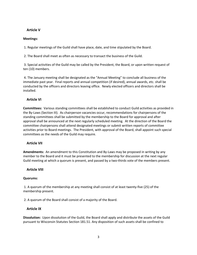# **Article V**

#### **Meetings:**

1. Regular meetings of the Guild shall have place, date, and time stipulated by the Board.

2. The Board shall meet as often as necessary to transact the business of the Guild.

3. Special activities of the Guild may be called by the President, the Board, or upon written request of ten (10) members.

4. The January meeting shall be designated as the "Annual Meeting" to conclude all business of the immediate past year. Final reports and annual competition (if desired), annual awards, etc. shall be conducted by the officers and directors leaving office. Newly elected officers and directors shall be installed.

# **Article VI**

**Committees:** Various standing committees shall be established to conduct Guild activities as provided in the By-Laws (Section III). As chairperson vacancies occur, recommendations for chairpersons of the standing committees shall be submitted by the membership to the Board for approval and after approval shall be announced at the next regularly scheduled meeting. At the direction of the Board the committee chairpersons shall attend designated meetings or submit written reports of committee activities prior to Board meetings. The President, with approval of the Board, shall appoint such special committees as the needs of the Guild may require.

# **Article VII**

**Amendments:** An amendment to this Constitution and By-Laws may be proposed in writing by any member to the Board and it must be presented to the membership for discussion at the next regular Guild meeting at which a quorum is present, and passed by a two-thirds vote of the members present.

# **Article VIII**

#### **Quorums:**

1. A quorum of the membership at any meeting shall consist of at least twenty-five (25) of the membership present.

2. A quorum of the Board shall consist of a majority of the Board.

# **Article IX**

**Dissolution:** Upon dissolution of the Guild, the Board shall apply and distribute the assets of the Guild pursuant to Wisconsin Statutes Section 181.51. Any disposition of such assets shall be confined to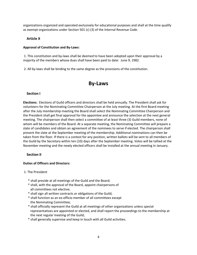organizations organized and operated exclusively for educational purposes and shall at the time qualify as exempt organizations under Section 501 (c) (3) of the Internal Revenue Code.

#### **Article X**

#### **Approval of Constitution and By-Laws:**

1. This constitution and by-laws shall be deemed to have been adopted upon their approval by a majority of the members whose dues shall have been paid to date: June 9, 1982.

2. All by-laws shall be binding to the same degree as the provisions of the constitution.

# **By-Laws**

# **Section I**

**Elections:** Elections of Guild officers and directors shall be held annually. The President shall ask for volunteers for the Nominating Committee Chairperson at the July meeting. At the first Board meeting after the July membership meeting the Board shall select the Nominating Committee Chairperson and the President shall get final approval for the appointee and announce the selection at the next general meeting. The chairperson shall then select a committee of at least three (3) Guild members, none of whom will be members of the Board. At a separate meeting, the Nominating Committee will prepare a slate of candidates and obtain an agreement of the nominees to serve if elected. The chairperson shall present the slate at the September meeting of the membership. Additional nominations can then be taken from the floor. If there is a contest for any position, written ballots will be sent to all members of the Guild by the Secretary within ten (10) days after the September meeting. Votes will be tallied at the November meeting and the newly elected officers shall be installed at the annual meeting in January.

# **Section II**

#### **Duties of Officers and Directors:**

#### 1. The President

- \* shall preside at all meetings of the Guild and the Board;
- \* shall, with the approval of the Board, appoint chairpersons of all committees not elective;
- \* shall sign all written contracts or obligations of the Guild;
- \* shall function as an ex-officio member of all committees except the Nominating Committee;
- \* shall officially represent the Guild at all meetings of other organizations unless special representatives are appointed or elected, and shall report the proceedings to the membership at the next regular meeting of the Guild;
- \* shall generally supervise and keep in touch with all Guild activities.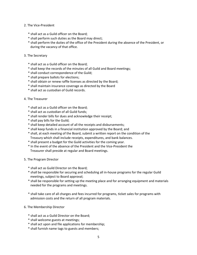#### 2. The Vice-President

- \* shall act as a Guild officer on the Board;
- \* shall perform such duties as the Board may direct;
- \* shall perform the duties of the office of the President during the absence of the President, or during the vacancy of that office.
- 3. The Secretary
	- \* shall act as a Guild officer on the Board;
	- \* shall keep the records of the minutes of all Guild and Board meetings;
	- \* shall conduct correspondence of the Guild;
	- \* shall prepare ballots for elections;
	- \* shall obtain or renew raffle licenses as directed by the Board;
	- \* shall maintain insurance coverage as directed by the Board
	- \* shall act as custodian of Guild records.

#### 4. The Treasurer

- \* shall act as a Guild officer on the Board;
- \* shall act as custodian of all Guild funds;
- \* shall render bills for dues and acknowledge their receipt;
- \* shall pay bills for the Guild;
- \* shall keep detailed account of all the receipts and disbursements;
- \* shall keep funds in a financial institution approved by the Board; and
- \* shall, at each meeting of the Board, submit a written report on the condition of the Treasury which shall include receipts, expenditures, and bank balances.
- \* shall present a budget for the Guild activities for the coming year.
- \* In the event of the absence of the President and the Vice-President the Treasurer shall preside at regular and Board meetings.

#### 5. The Program Director

- \* shall act as Guild Director on the Board;
- \* shall be responsible for securing and scheduling all in-house programs for the regular Guild meetings, subject to Board approval;
- \* shall be responsible for setting up the meeting place and for arranging equipment and materials needed for the programs and meetings.
- \* shall take care of all charges and fees incurred for programs, ticket sales for programs with admission costs and the return of all program materials.
- 6. The Membership Director
	- \* shall act as a Guild Director on the Board;
	- \* shall welcome guests at meetings;
	- \* shall act upon and file applications for membership;
	- \* shall furnish name tags to guests and members;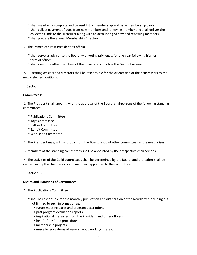- \* shall maintain a complete and current list of membership and issue membership cards;
- \* shall collect payment of dues from new members and renewing member and shall deliver the collected funds to the Treasurer along with an accounting of new and renewing members;
- \* shall prepare the annual Membership Directory.
- 7. The immediate Past-President ex-officio
	- \* shall serve as advisor to the Board, with voting privileges, for one year following his/her term of office;
	- \* shall assist the other members of the Board in conducting the Guild's business.

8. All retiring officers and directors shall be responsible for the orientation of their successors to the newly elected positions.

#### **Section III**

#### **Committees:**

1. The President shall appoint, with the approval of the Board, chairpersons of the following standing committees:

- \* Publications Committee
- \* Toys Committee
- \* Raffles Committee
- \* Exhibit Committee
- \* Workshop Committee

2. The President may, with approval from the Board, appoint other committees as the need arises.

3. Members of the standing committees shall be appointed by their respective chairpersons.

4. The activities of the Guild committees shall be determined by the Board, and thereafter shall be carried out by the chairpersons and members appointed to the committees.

# **Section IV**

#### **Duties and Functions of Committees:**

- 1. The Publications Committee
	- \* shall be responsible for the monthly publication and distribution of the Newsletter including but not limited to such information as:
		- future meeting dates and program descriptions
		- past program evaluation reports
		- inspirational messages from the President and other officers
		- helpful "tips" and procedures
		- membership projects
		- miscellaneous items of general woodworking interest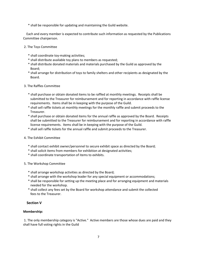\* shall be responsible for updating and maintaining the Guild website.

Each and every member is expected to contribute such information as requested by the Publications Committee chairperson.

#### 2. The Toys Committee

- \* shall coordinate toy-making activities;
- \* shall distribute available toy plans to members as requested;
- \* shall distribute donated materials and materials purchased by the Guild as approved by the Board;
- \* shall arrange for distribution of toys to family shelters and other recipients as designated by the Board.
- 3. The Raffles Committee
	- \* shall purchase or obtain donated items to be raffled at monthly meetings. Receipts shall be submitted to the Treasurer for reimbursement and for reporting in accordance with raffle license requirements. Items shall be in keeping with the purpose of the Guild.
	- \* shall sell raffle tickets at monthly meetings for the monthly raffle and submit proceeds to the Treasurer.
	- \* shall purchase or obtain donated items for the annual raffle as approved by the Board. Receipts shall be submitted to the Treasurer for reimbursement and for reporting in accordance with raffle license requirements. Items shall be in keeping with the purpose of the Guild.
	- \* shall sell raffle tickets for the annual raffle and submit proceeds to the Treasurer.
- 4. The Exhibit Committee
	- \* shall contact exhibit owner/personnel to secure exhibit space as directed by the Board;
	- \* shall solicit items from members for exhibition at designated activities;
	- \* shall coordinate transportation of items to exhibits.
- 5. The Workshop Committee
	- \* shall arrange workshop activities as directed by the Board;
	- \* shall arrange with the workshop leader for any special equipment or accommodations;
	- \* shall be responsible for setting up the meeting place and for arranging equipment and materials needed for the workshop.
	- \* shall collect any fees set by the Board for workshop attendance and submit the collected fees to the Treasurer.

# **Section V**

#### **Membership:**

1. The only membership category is "Active." Active members are those whose dues are paid and they shall have full voting rights in the Guild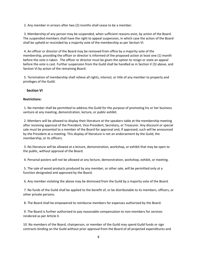2. Any member in arrears after two (2) months shall cease to be a member.

3. Membership of any person may be suspended, when sufficient reasons exist, by action of the Board. The suspended members shall have the right to appeal suspension, in which case the action of the Board shall be upheld or rescinded by a majority vote of the membership as per Section VI.

4. An officer or director of the Board may be removed from office by a majority vote of the membership, providing the officer or director is informed of the proposed action at least one (1) month before the vote is taken. The officer or director must be given the option to resign or state an appeal before the vote is cast. Further suspension from the Guild shall be handled as in Section V (3) above, and Section VI by action of the remaining Board.

5. Termination of membership shall relieve all rights, interest, or title of any member to property and privileges of the Guild.

#### **Section VI**

#### **Restrictions:**

1. No member shall be permitted to address the Guild for the purpose of promoting his or her business venture at any meeting, demonstration, lecture, or public exhibit.

2. Members will be allowed to display their literature at the speakers table at the membership meeting after receiving approval of the President, Vice-President, Secretary, or Treasurer. Any discount or special sale must be presented to a member of the Board for approval and, if approved, such will be announced by the President at a meeting. This display of literature is not an endorsement by the Guild, the membership, or its officers.

3. No literature will be allowed at a lecture, demonstration, workshop, or exhibit that may be open to the public, without approval of the Board.

4. Personal posters will not be allowed at any lecture, demonstration, workshop, exhibit, or meeting.

5. The sale of wood products produced by any member, or other sale, will be permitted only at a function designated and approved by the Board.

6. Any member violating the above may be dismissed from the Guild by a majority vote of the Board.

7. No funds of the Guild shall be applied to the benefit of, or be distributable to its members, officers, or other private persons.

8. The Board shall be empowered to reimburse members for expenses authorized by the Board.

9. The Board is further authorized to pay reasonable compensation to non-members for services rendered as per Article II.

10. No members of the Board, chairperson, or member of the Guild may spend Guild funds or sign contracts binding on the Guild without prior approval from the Board of all projected expenditures and